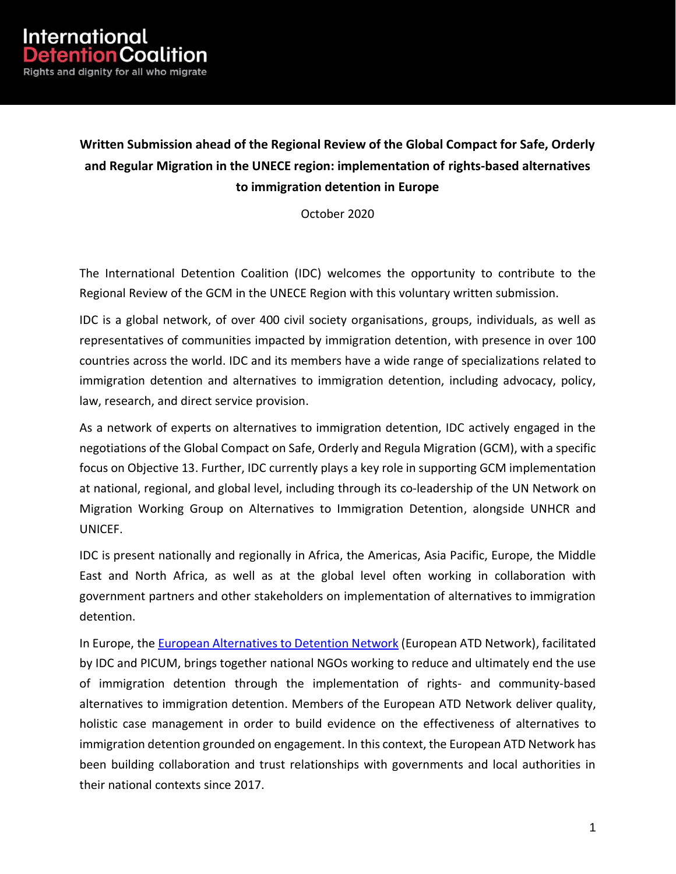## **Written Submission ahead of the Regional Review of the Global Compact for Safe, Orderly and Regular Migration in the UNECE region: implementation of rights-based alternatives to immigration detention in Europe**

October 2020

The International Detention Coalition (IDC) welcomes the opportunity to contribute to the Regional Review of the GCM in the UNECE Region with this voluntary written submission.

IDC is a global network, of over 400 civil society organisations, groups, individuals, as well as representatives of communities impacted by immigration detention, with presence in over 100 countries across the world. IDC and its members have a wide range of specializations related to immigration detention and alternatives to immigration detention, including advocacy, policy, law, research, and direct service provision.

As a network of experts on alternatives to immigration detention, IDC actively engaged in the negotiations of the Global Compact on Safe, Orderly and Regula Migration (GCM), with a specific focus on Objective 13. Further, IDC currently plays a key role in supporting GCM implementation at national, regional, and global level, including through its co-leadership of the UN Network on Migration Working Group on Alternatives to Immigration Detention, alongside UNHCR and UNICEF.

IDC is present nationally and regionally in Africa, the Americas, Asia Pacific, Europe, the Middle East and North Africa, as well as at the global level often working in collaboration with government partners and other stakeholders on implementation of alternatives to immigration detention.

In Europe, the [European Alternatives to Detention Network](https://www.atdnetwork.org/) (European ATD Network), facilitated by IDC and PICUM, brings together national NGOs working to reduce and ultimately end the use of immigration detention through the implementation of rights- and community-based alternatives to immigration detention. Members of the European ATD Network deliver quality, holistic case management in order to build evidence on the effectiveness of alternatives to immigration detention grounded on engagement. In this context, the European ATD Network has been building collaboration and trust relationships with governments and local authorities in their national contexts since 2017.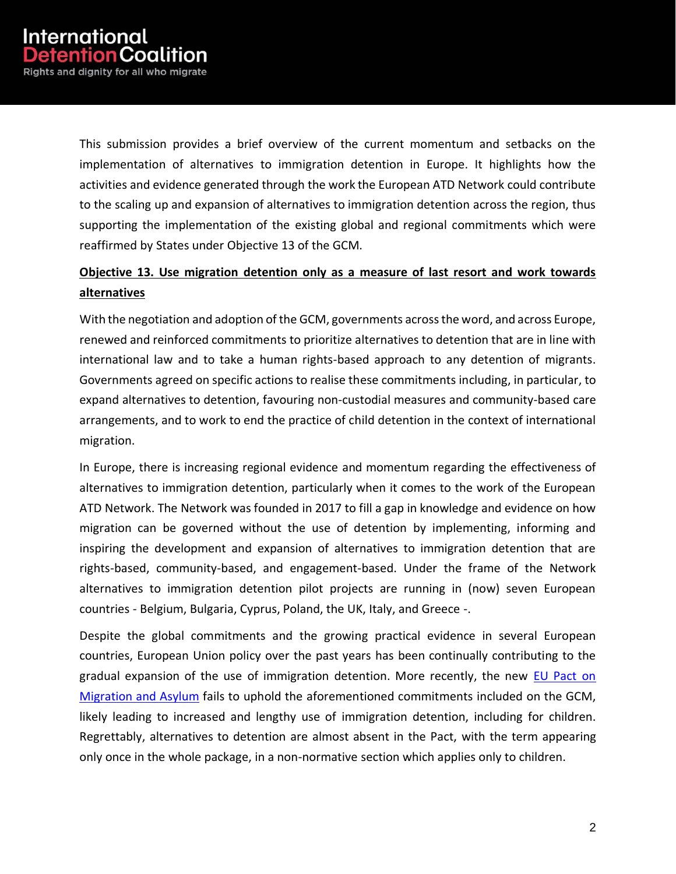This submission provides a brief overview of the current momentum and setbacks on the implementation of alternatives to immigration detention in Europe. It highlights how the activities and evidence generated through the work the European ATD Network could contribute to the scaling up and expansion of alternatives to immigration detention across the region, thus supporting the implementation of the existing global and regional commitments which were reaffirmed by States under Objective 13 of the GCM.

## **Objective 13. Use migration detention only as a measure of last resort and work towards alternatives**

With the negotiation and adoption of the GCM, governments across the word, and across Europe, renewed and reinforced commitments to prioritize alternatives to detention that are in line with international law and to take a human rights-based approach to any detention of migrants. Governments agreed on specific actions to realise these commitments including, in particular, to expand alternatives to detention, favouring non-custodial measures and community-based care arrangements, and to work to end the practice of child detention in the context of international migration.

In Europe, there is increasing regional evidence and momentum regarding the effectiveness of alternatives to immigration detention, particularly when it comes to the work of the European ATD Network. The Network was founded in 2017 to fill a gap in knowledge and evidence on how migration can be governed without the use of detention by implementing, informing and inspiring the development and expansion of alternatives to immigration detention that are rights-based, community-based, and engagement-based. Under the frame of the Network alternatives to immigration detention pilot projects are running in (now) seven European countries - Belgium, Bulgaria, Cyprus, Poland, the UK, Italy, and Greece -.

Despite the global commitments and the growing practical evidence in several European countries, European Union policy over the past years has been continually contributing to the gradual expansion of the use of immigration detention. More recently, the new EU Pact on [Migration and Asylum](https://eur-lex.europa.eu/legal-content/EN/TXT/?qid=1601287338054&uri=COM%3A2020%3A609%3AFIN) fails to uphold the aforementioned commitments included on the GCM, likely leading to increased and lengthy use of immigration detention, including for children. Regrettably, alternatives to detention are almost absent in the Pact, with the term appearing only once in the whole package, in a non-normative section which applies only to children.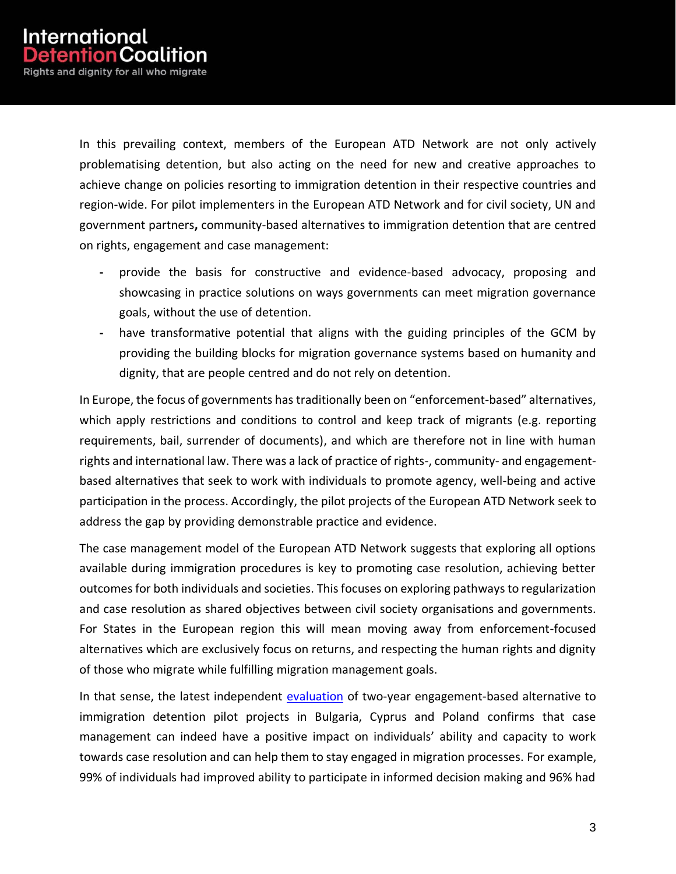In this prevailing context, members of the European ATD Network are not only actively problematising detention, but also acting on the need for new and creative approaches to achieve change on policies resorting to immigration detention in their respective countries and region-wide. For pilot implementers in the European ATD Network and for civil society, UN and government partners**,** community-based alternatives to immigration detention that are centred on rights, engagement and case management:

- **-** provide the basis for constructive and evidence-based advocacy, proposing and showcasing in practice solutions on ways governments can meet migration governance goals, without the use of detention.
- **-** have transformative potential that aligns with the guiding principles of the GCM by providing the building blocks for migration governance systems based on humanity and dignity, that are people centred and do not rely on detention.

In Europe, the focus of governments has traditionally been on "enforcement-based" alternatives, which apply restrictions and conditions to control and keep track of migrants (e.g. reporting requirements, bail, surrender of documents), and which are therefore not in line with human rights and international law. There was a lack of practice of rights-, community- and engagementbased alternatives that seek to work with individuals to promote agency, well-being and active participation in the process. Accordingly, the pilot projects of the European ATD Network seek to address the gap by providing demonstrable practice and evidence.

The case management model of the European ATD Network suggests that exploring all options available during immigration procedures is key to promoting case resolution, achieving better outcomes for both individuals and societies. This focuses on exploring pathways to regularization and case resolution as shared objectives between civil society organisations and governments. For States in the European region this will mean moving away from enforcement-focused alternatives which are exclusively focus on returns, and respecting the human rights and dignity of those who migrate while fulfilling migration management goals.

In that sense, the latest independent [evaluation](https://www.epim.info/new-evaluation-report-of-epim-atd-pilot-projects-out-now/) of two-year engagement-based alternative to immigration detention pilot projects in Bulgaria, Cyprus and Poland confirms that case management can indeed have a positive impact on individuals' ability and capacity to work towards case resolution and can help them to stay engaged in migration processes. For example, 99% of individuals had improved ability to participate in informed decision making and 96% had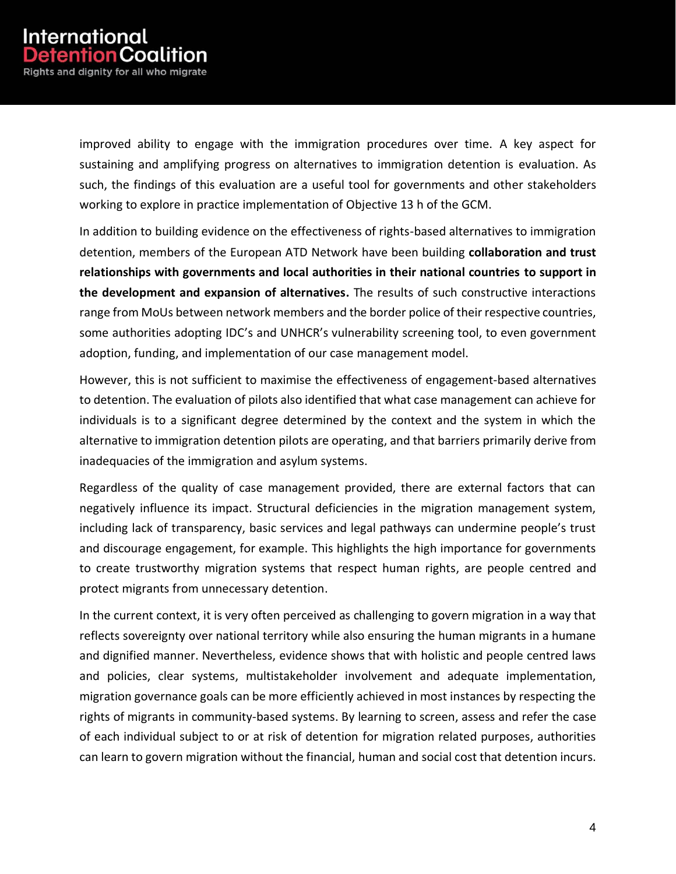improved ability to engage with the immigration procedures over time. A key aspect for sustaining and amplifying progress on alternatives to immigration detention is evaluation. As such, the findings of this evaluation are a useful tool for governments and other stakeholders working to explore in practice implementation of Objective 13 h of the GCM.

In addition to building evidence on the effectiveness of rights-based alternatives to immigration detention, members of the European ATD Network have been building **collaboration and trust relationships with governments and local authorities in their national countries to support in the development and expansion of alternatives.** The results of such constructive interactions range from MoUs between network members and the border police of their respective countries, some authorities adopting IDC's and UNHCR's vulnerability screening tool, to even government adoption, funding, and implementation of our case management model.

However, this is not sufficient to maximise the effectiveness of engagement-based alternatives to detention. The evaluation of pilots also identified that what case management can achieve for individuals is to a significant degree determined by the context and the system in which the alternative to immigration detention pilots are operating, and that barriers primarily derive from inadequacies of the immigration and asylum systems.

Regardless of the quality of case management provided, there are external factors that can negatively influence its impact. Structural deficiencies in the migration management system, including lack of transparency, basic services and legal pathways can undermine people's trust and discourage engagement, for example. This highlights the high importance for governments to create trustworthy migration systems that respect human rights, are people centred and protect migrants from unnecessary detention.

In the current context, it is very often perceived as challenging to govern migration in a way that reflects sovereignty over national territory while also ensuring the human migrants in a humane and dignified manner. Nevertheless, evidence shows that with holistic and people centred laws and policies, clear systems, multistakeholder involvement and adequate implementation, migration governance goals can be more efficiently achieved in most instances by respecting the rights of migrants in community-based systems. By learning to screen, assess and refer the case of each individual subject to or at risk of detention for migration related purposes, authorities can learn to govern migration without the financial, human and social cost that detention incurs.